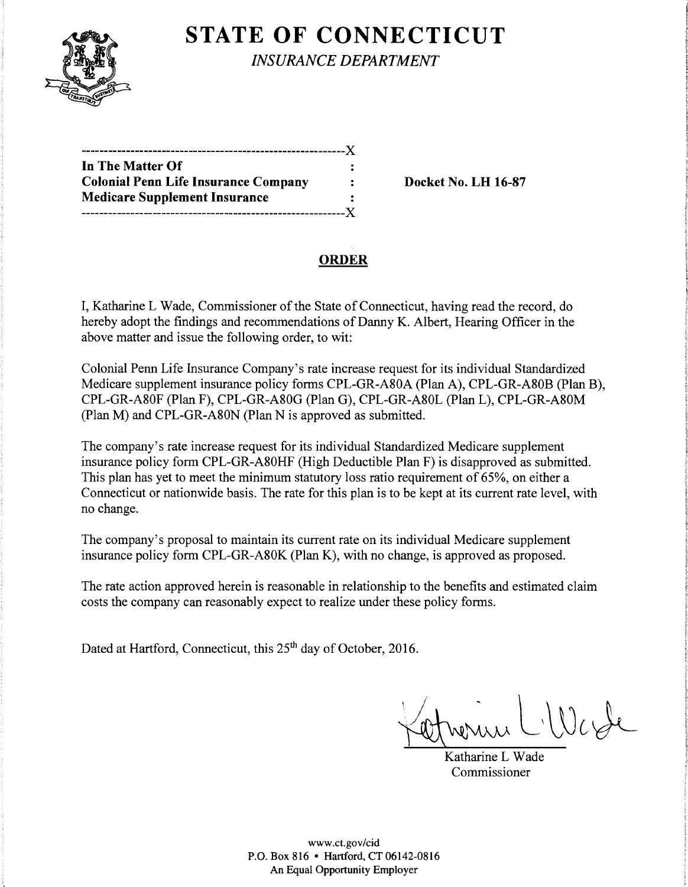

# **STATE OF CONNECTICUT**

*INSURANCE DEPARTMENT* 

| In The Matter Of                            |  |
|---------------------------------------------|--|
| <b>Colonial Penn Life Insurance Company</b> |  |
| <b>Medicare Supplement Insurance</b>        |  |
| .----------------------------------X        |  |

**Colonial Penn Life Insurance Company Docket** No. **LH 16-87** 

## **ORDER**

I, Katharine L Wade, Commissioner of the State of Connecticut, having read the record, do hereby adopt the findings and recommendations of Danny K. Albert, Hearing Officer in the above matter and issue the following order, to wit:

Colonial Penn Life Insurance Company's rate increase request for its individual Standardized Medicare supplement insurance policy forms CPL-GR-A80A (Plan A), CPL-GR-A80B (Plan B), CPL-GR-A80F (Plan F), CPL-GR-A80G (Plan G), CPL-GR-A80L (Plan L), CPL-GR-A80M (Plan M) and CPL-GR-A80N (Plan N is approved as submitted.

The company's rate increase request for its individual Standardized Medicare supplement insurance policy form CPL-GR-A80HF (High Deductible Plan F) is disapproved as submitted. This plan has yet to meet the minimum statutory loss ratio requirement of 65%, on either a Connecticut or nationwide basis. The rate for this plan is to be kept at its current rate level, with no change.

The company's proposal to maintain its current rate on its individual Medicare supplement insurance policy form CPL-GR-A80K (Plan K), with no change, is approved as proposed.

The rate action approved herein is reasonable in relationship to the benefits and estimated claim costs the company can reasonably expect to realize under these policy forms.

Dated at Hartford, Connecticut, this 25<sup>th</sup> day of October, 2016.

 $\forall$ ernerun L'West

Katharine L Wade Commissioner

www.ct.gov/cid P.O. Box 816 • Hartford, CT 06142-0816 An Equal Opportunity Employer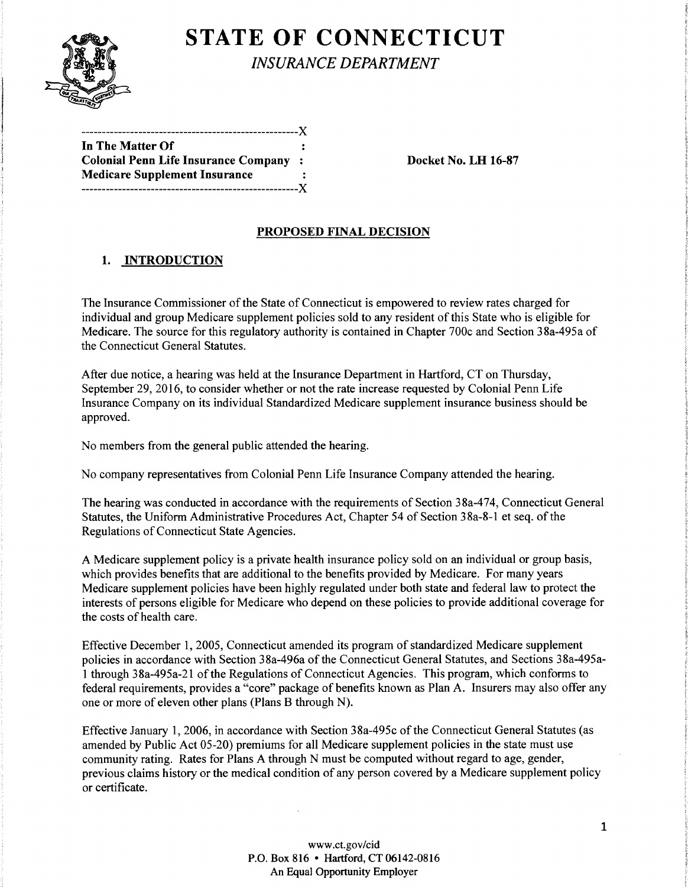

# **STATE OF CONNECTICUT**

*INSURANCE DEPARTMENT* 

| In The Matter Of                             |  |
|----------------------------------------------|--|
| <b>Colonial Penn Life Insurance Company:</b> |  |
| <b>Medicare Supplement Insurance</b>         |  |
|                                              |  |

Docket No. LH 16-87

### PROPOSED FINAL DECISION

### 1. INTRODUCTION

The Insurance Commissioner of the State of Connecticut is empowered to review rates charged for individual and group Medicare supplement policies sold to any resident of this State who is eligible for Medicare. The source for this regulatory authority is contained in Chapter 700c and Section 3 8a-495a of the Connecticut General Statutes.

After due notice, a hearing was held at the Insurance Department in Hartford, CT on Thursday, September 29, 2016, to consider whether or not the rate increase requested by Colonial Penn Life Insurance Company on its individual Standardized Medicare supplement insurance business should be approved.

No members from the general public attended the hearing.

No company representatives from Colonial Penn Life Insurance Company attended the hearing.

The hearing was conducted in accordance with the requirements of Section 38a-474, Connecticut General Statutes, the Uniform Administrative Procedures Act, Chapter 54 of Section 3 8a-8-1 et seq. of the Regulations of Connecticut State Agencies.

A Medicare supplement policy is a private health insurance policy sold on an individual or group basis, which provides benefits that are additional to the benefits provided by Medicare. For many years Medicare supplement policies have been highly regulated under both state and federal law to protect the interests of persons eligible for Medicare who depend on these policies to provide additional coverage for the costs of health care.

Effective December 1, 2005, Connecticut amended its program of standardized Medicare supplement policies in accordance with Section 38a-496a of the Connecticut General Statutes, and Sections 38a-495a-1 through 38a-495a-21 ofthe Regulations of Connecticut Agencies. This program, which conforms to federal requirements, provides a "core" package of benefits known as Plan A. Insurers may also offer any one or more of eleven other plans (Plans B through N).

Effective January 1, 2006, in accordance with Section 38a-495c of the Connecticut General Statutes (as amended by Public Act 05-20) premiums for all Medicare supplement policies in the state must use community rating. Rates for Plans A through N must be computed without regard to age, gender, previous claims history or the medical condition of any person covered by a Medicare supplement policy or certificate.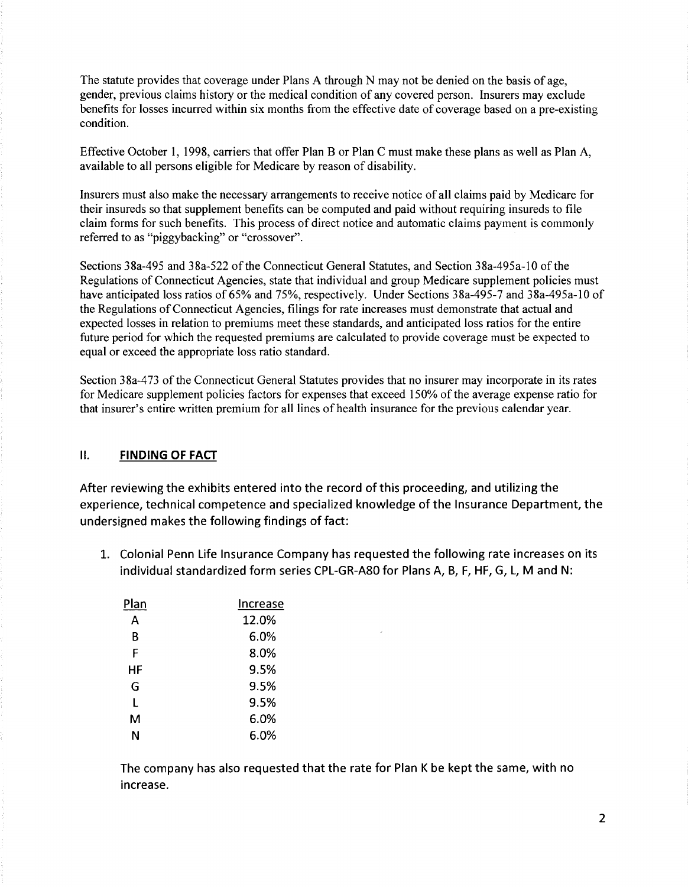The statute provides that coverage under Plans A through N may not be denied on the basis of age, gender, previous claims history or the medical condition of any covered person. Insurers may exclude benefits for losses incurred within six months from the effective date of coverage based on a pre-existing condition.

Effective October 1, 1998, carriers that offer Plan B or Plan C must make these plans as well as Plan A, available to all persons eligible for Medicare by reason of disability.

Insurers must also make the necessary arrangements to receive notice of all claims paid by Medicare for their insureds so that supplement benefits can be computed and paid without requiring insureds to file claim forms for such benefits. This process of direct notice and automatic claims payment is commonly referred to as "piggybacking" or "crossover".

Sections 38a-495 and 38a-522 of the Connecticut General Statutes, and Section 38a-495a-10 of the Regulations of Connecticut Agencies, state that individual and group Medicare supplement policies must have anticipated loss ratios of 65% and 75%, respectively. Under Sections 38a-495-7 and 38a-495a-10 of the Regulations of Connecticut Agencies, filings for rate increases must demonstrate that actual and expected losses in relation to premiums meet these standards, and anticipated loss ratios for the entire future period for which the requested premiums are calculated to provide coverage must be expected to equal or exceed the appropriate loss ratio standard.

Section 38a-473 of the Connecticut General Statutes provides that no insurer may incorporate in its rates for Medicare supplement policies factors for expenses that exceed 150% of the average expense ratio for that insurer's entire written premium for all lines of health insurance for the previous calendar year.

#### II. **FINDING OF FACT**

After reviewing the exhibits entered into the record of this proceeding, and utilizing the experience, technical competence and specialized knowledge of the Insurance Department, the undersigned makes the following findings of fact:

1. Colonial Penn Life Insurance Company has requested the following rate increases on its individual standardized form series CPL-GR-A80 for Plans A, B, F, HF, G, L, M and N:

| Plan | Increase |  |
|------|----------|--|
| А    | 12.0%    |  |
| В    | 6.0%     |  |
| F    | 8.0%     |  |
| НF   | 9.5%     |  |
| G    | 9.5%     |  |
| L    | 9.5%     |  |
| м    | 6.0%     |  |
| Ν    | 6.0%     |  |

The company has also requested that the rate for Plan K be kept the same, with no increase.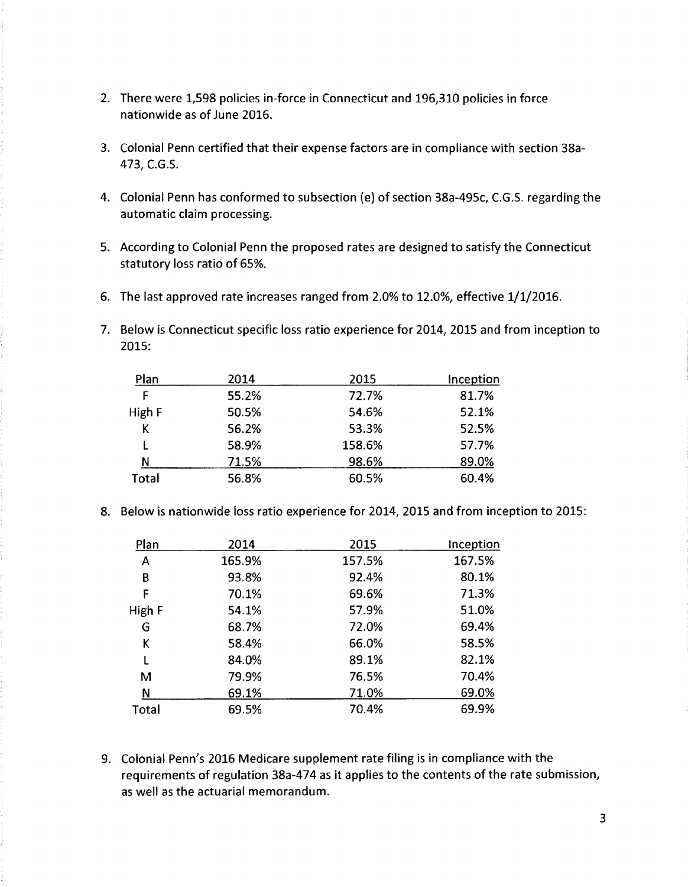- 2. There were 1,598 policies in-force in Connecticut and 196,310 policies in force nationwide as of June 2016.
- 3. Colonial Penn certified that their expense factors are in compliance with section 38a-473, C.G.S.
- 4. Colonial Penn has conformed to subsection (e) of section 38a-495c, C.G.S. regarding the automatic claim processing.
- 5. According to Colonial Penn the proposed rates are designed to satisfy the Connecticut statutory loss ratio of 65%.
- 6. The last approved rate increases ranged from 2.0% to 12.0%, effective 1/1/2016.
- 7. Below is Connecticut specific loss ratio experience for 2014, 2015 and from inception to 2015:

| Plan   | 2014  | 2015   | Inception |
|--------|-------|--------|-----------|
| F      | 55.2% | 72.7%  | 81.7%     |
| High F | 50.5% | 54.6%  | 52.1%     |
| Κ      | 56.2% | 53.3%  | 52.5%     |
|        | 58.9% | 158.6% | 57.7%     |
| N      | 71.5% | 98.6%  | 89.0%     |
| Total  | 56.8% | 60.5%  | 60.4%     |

8. Below is nationwide loss ratio experience for 2014, 2015 and from inception to 2015:

| Plan   | 2014   | 2015   | Inception |
|--------|--------|--------|-----------|
| A      | 165.9% | 157.5% | 167.5%    |
| B      | 93.8%  | 92.4%  | 80.1%     |
| F      | 70.1%  | 69.6%  | 71.3%     |
| High F | 54.1%  | 57.9%  | 51.0%     |
| G      | 68.7%  | 72.0%  | 69.4%     |
| K      | 58.4%  | 66.0%  | 58.5%     |
| L      | 84.0%  | 89.1%  | 82.1%     |
| M      | 79.9%  | 76.5%  | 70.4%     |
| N      | 69.1%  | 71.0%  | 69.0%     |
| Total  | 69.5%  | 70.4%  | 69.9%     |

9. Colonial Penn's 2016 Medicare supplement rate filing is in compliance with the requirements of regulation 38a-474 as it applies to the contents of the rate submission, as well as the actuarial memorandum.